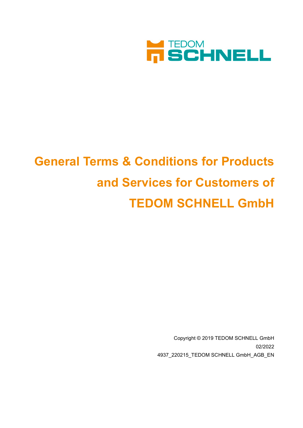

# **General Terms & Conditions for Products and Services for Customers of TEDOM SCHNELL GmbH**

Copyright © 2019 TEDOM SCHNELL GmbH 02/2022 4937\_220215\_TEDOM SCHNELL GmbH\_AGB\_EN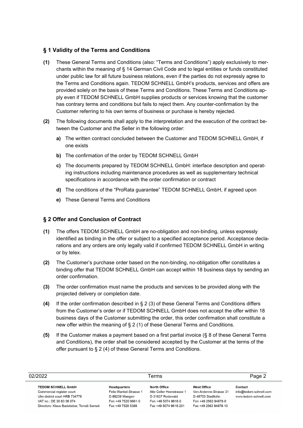### **§ 1 Validity of the Terms and Conditions**

- **(1)** These General Terms and Conditions (also: "Terms and Conditions") apply exclusively to merchants within the meaning of § 14 German Civil Code and to legal entities or funds constituted under public law for all future business relations, even if the parties do not expressly agree to the Terms and Conditions again. TEDOM SCHNELL GmbH's products, services and offers are provided solely on the basis of these Terms and Conditions. These Terms and Conditions apply even if TEDOM SCHNELL GmbH supplies products or services knowing that the customer has contrary terms and conditions but fails to reject them. Any counter-confirmation by the Customer referring to his own terms of business or purchase is hereby rejected.
- **(2)** The following documents shall apply to the interpretation and the execution of the contract between the Customer and the Seller in the following order:
	- **a)** The written contract concluded between the Customer and TEDOM SCHNELL GmbH, if one exists
	- **b)** The confirmation of the order by TEDOM SCHNELL GmbH
	- **c)** The documents prepared by TEDOM SCHNELL GmbH: interface description and operating instructions including maintenance procedures as well as supplementary technical specifications in accordance with the order confirmation or contract
	- **d)** The conditions of the "ProRata guarantee" TEDOM SCHNELL GmbH, if agreed upon
	- **e)** These General Terms and Conditions

#### **§ 2 Offer and Conclusion of Contract**

- **(1)** The offers TEDOM SCHNELL GmbH are no-obligation and non-binding, unless expressly identified as binding in the offer or subject to a specified acceptance period. Acceptance declarations and any orders are only legally valid if confirmed TEDOM SCHNELL GmbH in writing or by telex.
- **(2)** The Customer's purchase order based on the non-binding, no-obligation offer constitutes a binding offer that TEDOM SCHNELL GmbH can accept within 18 business days by sending an order confirmation.
- **(3)** The order confirmation must name the products and services to be provided along with the projected delivery or completion date.
- **(4)** If the order confirmation described in § 2 (3) of these General Terms and Conditions differs from the Customer's order or if TEDOM SCHNELL GmbH does not accept the offer within 18 business days of the Customer submitting the order, this order confirmation shall constitute a new offer within the meaning of § 2 (1) of these General Terms and Conditions.
- **(5)** If the Customer makes a payment based on a first partial invoice (§ 8 of these General Terms and Conditions), the order shall be considered accepted by the Customer at the terms of the offer pursuant to § 2 (4) of these General Terms and Conditions.

| Terms                                                                                                                                                            |                                                                                                             | 02/2022                                                                                                       |                                                                                                                    |                                                            |  | Page 2 |
|------------------------------------------------------------------------------------------------------------------------------------------------------------------|-------------------------------------------------------------------------------------------------------------|---------------------------------------------------------------------------------------------------------------|--------------------------------------------------------------------------------------------------------------------|------------------------------------------------------------|--|--------|
| <b>TEDOM SCHNELL GmbH</b><br>Commercial register court:<br>Ulm district court HRB 734778<br>VAT no.: DE 30 83 09 074<br>Directors: Klaus Badstieber, Tomáš Sameš | <b>Headquarters</b><br>Felix-Wankel-Strasse 1<br>D-88239 Wangen<br>Fon +49 7520 9661-0<br>Fax +49 7520 5388 | North Office<br>Alte Celler Heerstrasse 1<br>D-31637 Rodewald<br>Fon +49 5074 9618-0<br>Fax +49 5074 9618-201 | <b>West Office</b><br>Von-Ardenne-Strasse 31<br>D-48703 Stadtlohn<br>Fon +49 2563 94978-0<br>Fax +49 2563 94978-10 | Contact<br>info@tedom-schnell.com<br>www.tedom-schnell.com |  |        |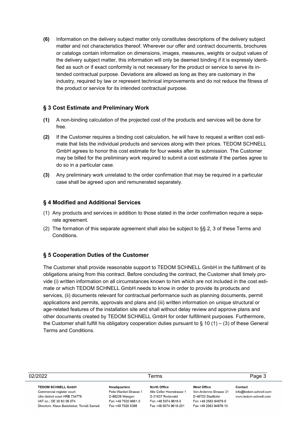**(6)** Information on the delivery subject matter only constitutes descriptions of the delivery subject matter and not characteristics thereof. Wherever our offer and contract documents, brochures or catalogs contain information on dimensions, images, measures, weights or output values of the delivery subject matter, this information will only be deemed binding if it is expressly identified as such or if exact conformity is not necessary for the product or service to serve its intended contractual purpose. Deviations are allowed as long as they are customary in the industry, required by law or represent technical improvements and do not reduce the fitness of the product or service for its intended contractual purpose.

### **§ 3 Cost Estimate and Preliminary Work**

- **(1)** A non-binding calculation of the projected cost of the products and services will be done for free.
- **(2)** If the Customer requires a binding cost calculation, he will have to request a written cost estimate that lists the individual products and services along with their prices. TEDOM SCHNELL GmbH agrees to honor this cost estimate for four weeks after its submission. The Customer may be billed for the preliminary work required to submit a cost estimate if the parties agree to do so in a particular case.
- **(3)** Any preliminary work unrelated to the order confirmation that may be required in a particular case shall be agreed upon and remunerated separately.

#### **§ 4 Modified and Additional Services**

- (1) Any products and services in addition to those stated in the order confirmation require a separate agreement.
- (2) The formation of this separate agreement shall also be subject to §§ 2, 3 of these Terms and Conditions.

## **§ 5 Cooperation Duties of the Customer**

The Customer shall provide reasonable support to TEDOM SCHNELL GmbH in the fulfillment of its obligations arising from this contract. Before concluding the contract, the Customer shall timely provide (i) written information on all circumstances known to him which are not included in the cost estimate or which TEDOM SCHNELL GmbH needs to know in order to provide its products and services, (ii) documents relevant for contractual performance such as planning documents, permit applications and permits, approvals and plans and (iii) written information on unique structural or age-related features of the installation site and shall without delay review and approve plans and other documents created by TEDOM SCHNELL GmbH for order fulfillment purposes. Furthermore, the Customer shall fulfill his obligatory cooperation duties pursuant to  $\S$  10 (1) – (3) of these General Terms and Conditions.

| 02/2022                                  |                        | Terms                     |                        |                        |
|------------------------------------------|------------------------|---------------------------|------------------------|------------------------|
| <b>TEDOM SCHNELL GmbH</b>                | Headquarters           | North Office              | <b>West Office</b>     | Contact                |
| Commercial register court:               | Felix-Wankel-Strasse 1 | Alte Celler Heerstrasse 1 | Von-Ardenne-Strasse 31 | info@tedom-schnell.com |
| Ulm district court HRB 734778            | D-88239 Wangen         | D-31637 Rodewald          | D-48703 Stadtlohn      | www.tedom-schnell.com  |
| VAT no.: DE 30 83 09 074                 | Fon +49 7520 9661-0    | Fon +49 5074 9618-0       | Fon +49 2563 94978-0   |                        |
| Directors: Klaus Badstieber, Tomáš Sameš | Fax +49 7520 5388      | Fax +49 5074 9618-201     | Fax +49 2563 94978-10  |                        |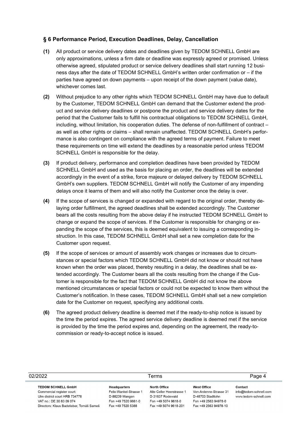### **§ 6 Performance Period, Execution Deadlines, Delay, Cancellation**

- **(1)** All product or service delivery dates and deadlines given by TEDOM SCHNELL GmbH are only approximations, unless a firm date or deadline was expressly agreed or promised. Unless otherwise agreed, stipulated product or service delivery deadlines shall start running 12 business days after the date of TEDOM SCHNELL GmbH's written order confirmation or – if the parties have agreed on down payments – upon receipt of the down payment (value date), whichever comes last.
- **(2)** Without prejudice to any other rights which TEDOM SCHNELL GmbH may have due to default by the Customer, TEDOM SCHNELL GmbH can demand that the Customer extend the product and service delivery deadlines or postpone the product and service delivery dates for the period that the Customer fails to fulfill his contractual obligations to TEDOM SCHNELL GmbH, including, without limitation, his cooperation duties. The defense of non-fulfillment of contract – as well as other rights or claims – shall remain unaffected. TEDOM SCHNELL GmbH's performance is also contingent on compliance with the agreed terms of payment. Failure to meet these requirements on time will extend the deadlines by a reasonable period unless TEDOM SCHNELL GmbH is responsible for the delay.
- **(3)** If product delivery, performance and completion deadlines have been provided by TEDOM SCHNELL GmbH and used as the basis for placing an order, the deadlines will be extended accordingly in the event of a strike, force majeure or delayed delivery by TEDOM SCHNELL GmbH's own suppliers. TEDOM SCHNELL GmbH will notify the Customer of any impending delays once it learns of them and will also notify the Customer once the delay is over.
- **(4)** If the scope of services is changed or expanded with regard to the original order, thereby delaying order fulfillment, the agreed deadlines shall be extended accordingly. The Customer bears all the costs resulting from the above delay if he instructed TEDOM SCHNELL GmbH to change or expand the scope of services. If the Customer is responsible for changing or expanding the scope of the services, this is deemed equivalent to issuing a corresponding instruction. In this case, TEDOM SCHNELL GmbH shall set a new completion date for the Customer upon request.
- **(5)** If the scope of services or amount of assembly work changes or increases due to circumstances or special factors which TEDOM SCHNELL GmbH did not know or should not have known when the order was placed, thereby resulting in a delay, the deadlines shall be extended accordingly. The Customer bears all the costs resulting from the change if the Customer is responsible for the fact that TEDOM SCHNELL GmbH did not know the above mentioned circumstances or special factors or could not be expected to know them without the Customer's notification. In these cases, TEDOM SCHNELL GmbH shall set a new completion date for the Customer on request, specifying any additional costs.
- **(6)** The agreed product delivery deadline is deemed met if the ready-to-ship notice is issued by the time the period expires. The agreed service delivery deadline is deemed met if the service is provided by the time the period expires and, depending on the agreement, the ready-tocommission or ready-to-accept notice is issued.

| 02/2022                                                                                                                                                          |                                                                                                      | Terms                                                                                                         | Page 4                                                                                                             |                                                            |
|------------------------------------------------------------------------------------------------------------------------------------------------------------------|------------------------------------------------------------------------------------------------------|---------------------------------------------------------------------------------------------------------------|--------------------------------------------------------------------------------------------------------------------|------------------------------------------------------------|
| <b>TEDOM SCHNELL GmbH</b><br>Commercial register court:<br>Ulm district court HRB 734778<br>VAT no.: DE 30 83 09 074<br>Directors: Klaus Badstieber, Tomáš Sameš | Headquarters<br>Felix-Wankel-Strasse 1<br>D-88239 Wangen<br>Fon +49 7520 9661-0<br>Fax +49 7520 5388 | North Office<br>Alte Celler Heerstrasse 1<br>D-31637 Rodewald<br>Fon +49 5074 9618-0<br>Fax +49 5074 9618-201 | <b>West Office</b><br>Von-Ardenne-Strasse 31<br>D-48703 Stadtlohn<br>Fon +49 2563 94978-0<br>Fax +49 2563 94978-10 | Contact<br>info@tedom-schnell.com<br>www.tedom-schnell.com |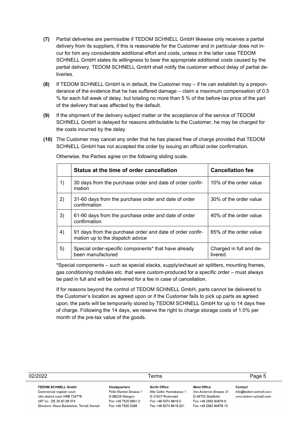- **(7)** Partial deliveries are permissible if TEDOM SCHNELL GmbH likewise only receives a partial delivery from its suppliers, if this is reasonable for the Customer and in particular does not incur for him any considerable additional effort and costs, unless in the latter case TEDOM SCHNELL GmbH states its willingness to bear the appropriate additional costs caused by the partial delivery. TEDOM SCHNELL GmbH shall notify the customer without delay of partial deliveries.
- **(8)** If TEDOM SCHNELL GmbH is in default, the Customer may if he can establish by a preponderance of the evidence that he has suffered damage – claim a maximum compensation of 0.5 % for each full week of delay, but totaling no more than 5 % of the before-tax price of the part of the delivery that was affected by the default.
- **(9)** If the shipment of the delivery subject matter or the acceptance of the service of TEDOM SCHNELL GmbH is delayed for reasons attributable to the Customer, he may be charged for the costs incurred by the delay.
- **(10)** The Customer may cancel any order that he has placed free of charge provided that TEDOM SCHNELL GmbH has not accepted the order by issuing an official order confirmation.

|    | Status at the time of order cancellation                                                      | <b>Cancellation fee</b>             |
|----|-----------------------------------------------------------------------------------------------|-------------------------------------|
| 1) | 30 days from the purchase order and date of order confir-<br>mation                           | 10% of the order value              |
| 2) | 31-60 days from the purchase order and date of order<br>confirmation                          | 30% of the order value              |
| 3) | 61-90 days from the purchase order and date of order<br>confirmation                          | 40% of the order value              |
| 4) | 91 days from the purchase order and date of order confir-<br>mation up to the dispatch advice | 65% of the order value              |
| 5) | Special order-specific components* that have already<br>been manufactured                     | Charged in full and de-<br>livered. |

Otherwise, the Parties agree on the following sliding scale.

\*Special components – such as special stacks, supply/exhaust air splitters, mounting frames, gas conditioning modules etc. that were custom-produced for a specific order – must always be paid in full and will be delivered for a fee in case of cancellation.

If for reasons beyond the control of TEDOM SCHNELL GmbH, parts cannot be delivered to the Customer's location as agreed upon or if the Customer fails to pick up parts as agreed upon, the parts will be temporarily stored by TEDOM SCHNELL GmbH for up to 14 days free of charge. Following the 14 days, we reserve the right to charge storage costs of 1.0% per month of the pre-tax value of the goods.

| 02/2022                                                                                                                                                          |                                                                                                      | Terms                                                                                                         |                                                                                                                    | Page 5                                                     |  |
|------------------------------------------------------------------------------------------------------------------------------------------------------------------|------------------------------------------------------------------------------------------------------|---------------------------------------------------------------------------------------------------------------|--------------------------------------------------------------------------------------------------------------------|------------------------------------------------------------|--|
| <b>TEDOM SCHNELL GmbH</b><br>Commercial register court:<br>Ulm district court HRB 734778<br>VAT no.: DE 30 83 09 074<br>Directors: Klaus Badstieber, Tomáš Sameš | Headquarters<br>Felix-Wankel-Strasse 1<br>D-88239 Wangen<br>Fon +49 7520 9661-0<br>Fax +49 7520 5388 | North Office<br>Alte Celler Heerstrasse 1<br>D-31637 Rodewald<br>Fon +49 5074 9618-0<br>Fax +49 5074 9618-201 | <b>West Office</b><br>Von-Ardenne-Strasse 31<br>D-48703 Stadtlohn<br>Fon +49 2563 94978-0<br>Fax +49 2563 94978-10 | Contact<br>info@tedom-schnell.com<br>www.tedom-schnell.com |  |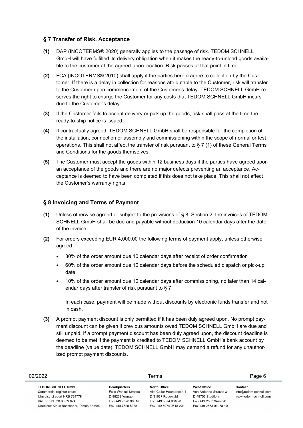## **§ 7 Transfer of Risk, Acceptance**

- **(1)** DAP (INCOTERMS® 2020) generally applies to the passage of risk. TEDOM SCHNELL GmbH will have fulfilled its delivery obligation when it makes the ready-to-unload goods available to the customer at the agreed-upon location. Risk passes at that point in time.
- **(2)** FCA (INCOTERMS® 2010) shall apply if the parties hereto agree to collection by the Customer. If there is a delay in collection for reasons attributable to the Customer, risk will transfer to the Customer upon commencement of the Customer's delay. TEDOM SCHNELL GmbH reserves the right to charge the Customer for any costs that TEDOM SCHNELL GmbH incurs due to the Customer's delay.
- **(3)** If the Customer fails to accept delivery or pick up the goods, risk shall pass at the time the ready-to-ship notice is issued.
- **(4)** If contractually agreed, TEDOM SCHNELL GmbH shall be responsible for the completion of the installation, connection or assembly and commissioning within the scope of normal or test operations. This shall not affect the transfer of risk pursuant to § 7 (1) of these General Terms and Conditions for the goods themselves.
- **(5)** The Customer must accept the goods within 12 business days if the parties have agreed upon an acceptance of the goods and there are no major defects preventing an acceptance. Acceptance is deemed to have been completed if this does not take place. This shall not affect the Customer's warranty rights.

## **§ 8 Invoicing and Terms of Payment**

- **(1)** Unless otherwise agreed or subject to the provisions of § 8, Section 2, the invoices of TEDOM SCHNELL GmbH shall be due and payable without deduction 10 calendar days after the date of the invoice.
- **(2)** For orders exceeding EUR 4,000.00 the following terms of payment apply, unless otherwise agreed:
	- 30% of the order amount due 10 calendar days after receipt of order confirmation
	- 60% of the order amount due 10 calendar days before the scheduled dispatch or pick-up date
	- 10% of the order amount due 10 calendar days after commissioning, no later than 14 calendar days after transfer of risk pursuant to § 7

In each case, payment will be made without discounts by electronic funds transfer and not in cash.

**(3)** A prompt payment discount is only permitted if it has been duly agreed upon. No prompt payment discount can be given if previous amounts owed TEDOM SCHNELL GmbH are due and still unpaid. If a prompt payment discount has been duly agreed upon, the discount deadline is deemed to be met if the payment is credited to TEDOM SCHNELL GmbH's bank account by the deadline (value date). TEDOM SCHNELL GmbH may demand a refund for any unauthorized prompt payment discounts.

| 02/2022                                                                                                                                                          | Terms                                                                                                |                                                                                                               |                                                                                                                    |                                                            | Page 6 |
|------------------------------------------------------------------------------------------------------------------------------------------------------------------|------------------------------------------------------------------------------------------------------|---------------------------------------------------------------------------------------------------------------|--------------------------------------------------------------------------------------------------------------------|------------------------------------------------------------|--------|
| <b>TEDOM SCHNELL GmbH</b><br>Commercial register court:<br>Ulm district court HRB 734778<br>VAT no.: DE 30 83 09 074<br>Directors: Klaus Badstieber, Tomáš Sameš | Headquarters<br>Felix-Wankel-Strasse 1<br>D-88239 Wangen<br>Fon +49 7520 9661-0<br>Fax +49 7520 5388 | North Office<br>Alte Celler Heerstrasse 1<br>D-31637 Rodewald<br>Fon +49 5074 9618-0<br>Fax +49 5074 9618-201 | <b>West Office</b><br>Von-Ardenne-Strasse 31<br>D-48703 Stadtlohn<br>Fon +49 2563 94978-0<br>Fax +49 2563 94978-10 | Contact<br>info@tedom-schnell.com<br>www.tedom-schnell.com |        |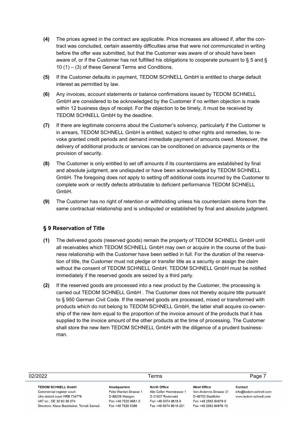- **(4)** The prices agreed in the contract are applicable. Price increases are allowed if, after the contract was concluded, certain assembly difficulties arise that were not communicated in writing before the offer was submitted, but that the Customer was aware of or should have been aware of, or if the Customer has not fulfilled his obligations to cooperate pursuant to § 5 and § 10 (1) – (3) of these General Terms and Conditions.
- **(5)** If the Customer defaults in payment, TEDOM SCHNELL GmbH is entitled to charge default interest as permitted by law.
- **(6)** Any invoices, account statements or balance confirmations issued by TEDOM SCHNELL GmbH are considered to be acknowledged by the Customer if no written objection is made within 12 business days of receipt. For the objection to be timely, it must be received by TEDOM SCHNELL GmbH by the deadline.
- **(7)** If there are legitimate concerns about the Customer's solvency, particularly if the Customer is in arrears, TEDOM SCHNELL GmbH is entitled, subject to other rights and remedies, to revoke granted credit periods and demand immediate payment of amounts owed. Moreover, the delivery of additional products or services can be conditioned on advance payments or the provision of security.
- **(8)** The Customer is only entitled to set off amounts if its counterclaims are established by final and absolute judgment, are undisputed or have been acknowledged by TEDOM SCHNELL GmbH. The foregoing does not apply to setting off additional costs incurred by the Customer to complete work or rectify defects attributable to deficient performance TEDOM SCHNELL GmbH.
- **(9)** The Customer has no right of retention or withholding unless his counterclaim stems from the same contractual relationship and is undisputed or established by final and absolute judgment.

#### **§ 9 Reservation of Title**

- **(1)** The delivered goods (reserved goods) remain the property of TEDOM SCHNELL GmbH until all receivables which TEDOM SCHNELL GmbH may own or acquire in the course of the business relationship with the Customer have been settled in full. For the duration of the reservation of title, the Customer must not pledge or transfer title as a security or assign the claim without the consent of TEDOM SCHNELL GmbH. TEDOM SCHNELL GmbH must be notified immediately if the reserved goods are seized by a third party.
- **(2)** If the reserved goods are processed into a new product by the Customer, the processing is carried out TEDOM SCHNELL GmbH . The Customer does not thereby acquire title pursuant to § 950 German Civil Code. If the reserved goods are processed, mixed or transformed with products which do not belong to TEDOM SCHNELL GmbH, the latter shall acquire co-ownership of the new item equal to the proportion of the invoice amount of the products that it has supplied to the invoice amount of the other products at the time of processing. The Customer shall store the new item TEDOM SCHNELL GmbH with the diligence of a prudent businessman.

| 02/2022                                                                                                                                                          | Terms                                                                                                |                                                                                                               | Page 7                                                                                                             |                                                            |
|------------------------------------------------------------------------------------------------------------------------------------------------------------------|------------------------------------------------------------------------------------------------------|---------------------------------------------------------------------------------------------------------------|--------------------------------------------------------------------------------------------------------------------|------------------------------------------------------------|
| <b>TEDOM SCHNELL GmbH</b><br>Commercial register court:<br>Ulm district court HRB 734778<br>VAT no.: DE 30 83 09 074<br>Directors: Klaus Badstieber, Tomáš Sameš | Headquarters<br>Felix-Wankel-Strasse 1<br>D-88239 Wangen<br>Fon +49 7520 9661-0<br>Fax +49 7520 5388 | North Office<br>Alte Celler Heerstrasse 1<br>D-31637 Rodewald<br>Fon +49 5074 9618-0<br>Fax +49 5074 9618-201 | <b>West Office</b><br>Von-Ardenne-Strasse 31<br>D-48703 Stadtlohn<br>Fon +49 2563 94978-0<br>Fax +49 2563 94978-10 | Contact<br>info@tedom-schnell.com<br>www.tedom-schnell.com |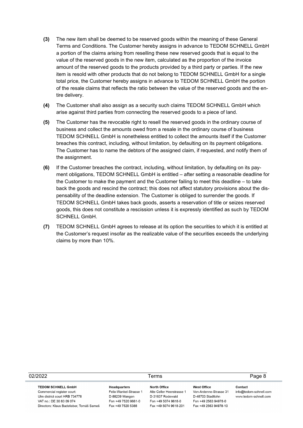- **(3)** The new item shall be deemed to be reserved goods within the meaning of these General Terms and Conditions. The Customer hereby assigns in advance to TEDOM SCHNELL GmbH a portion of the claims arising from reselling these new reserved goods that is equal to the value of the reserved goods in the new item, calculated as the proportion of the invoice amount of the reserved goods to the products provided by a third party or parties. If the new item is resold with other products that do not belong to TEDOM SCHNELL GmbH for a single total price, the Customer hereby assigns in advance to TEDOM SCHNELL GmbH the portion of the resale claims that reflects the ratio between the value of the reserved goods and the entire delivery.
- **(4)** The Customer shall also assign as a security such claims TEDOM SCHNELL GmbH which arise against third parties from connecting the reserved goods to a piece of land.
- **(5)** The Customer has the revocable right to resell the reserved goods in the ordinary course of business and collect the amounts owed from a resale in the ordinary course of business TEDOM SCHNELL GmbH is nonetheless entitled to collect the amounts itself if the Customer breaches this contract, including, without limitation, by defaulting on its payment obligations. The Customer has to name the debtors of the assigned claim, if requested, and notify them of the assignment.
- **(6)** If the Customer breaches the contract, including, without limitation, by defaulting on its payment obligations, TEDOM SCHNELL GmbH is entitled – after setting a reasonable deadline for the Customer to make the payment and the Customer failing to meet this deadline – to take back the goods and rescind the contract; this does not affect statutory provisions about the dispensability of the deadline extension. The Customer is obliged to surrender the goods. If TEDOM SCHNELL GmbH takes back goods, asserts a reservation of title or seizes reserved goods, this does not constitute a rescission unless it is expressly identified as such by TEDOM SCHNELL GmbH.
- **(7)** TEDOM SCHNELL GmbH agrees to release at its option the securities to which it is entitled at the Customer's request insofar as the realizable value of the securities exceeds the underlying claims by more than 10%.

| 02/2022                                  |                        | Terms                     |                        |                        |
|------------------------------------------|------------------------|---------------------------|------------------------|------------------------|
| <b>TEDOM SCHNELL GmbH</b>                | Headquarters           | North Office              | <b>West Office</b>     | Contact                |
| Commercial register court:               | Felix-Wankel-Strasse 1 | Alte Celler Heerstrasse 1 | Von-Ardenne-Strasse 31 | info@tedom-schnell.com |
| Ulm district court HRB 734778            | D-88239 Wangen         | D-31637 Rodewald          | D-48703 Stadtlohn      | www.tedom-schnell.com  |
| VAT no.: DE 30 83 09 074                 | Fon +49 7520 9661-0    | Fon +49 5074 9618-0       | Fon +49 2563 94978-0   |                        |
| Directors: Klaus Badstieber, Tomáš Sameš | Fax +49 7520 5388      | Fax +49 5074 9618-201     | Fax +49 2563 94978-10  |                        |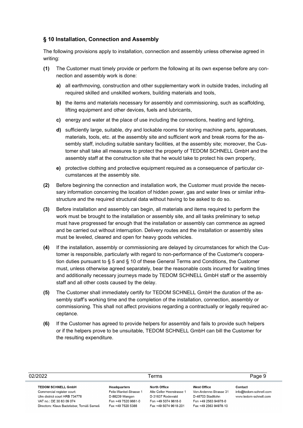# **§ 10 Installation, Connection and Assembly**

The following provisions apply to installation, connection and assembly unless otherwise agreed in writing:

- **(1)** The Customer must timely provide or perform the following at its own expense before any connection and assembly work is done:
	- **a)** all earthmoving, construction and other supplementary work in outside trades, including all required skilled and unskilled workers, building materials and tools,
	- **b)** the items and materials necessary for assembly and commissioning, such as scaffolding, lifting equipment and other devices, fuels and lubricants,
	- **c)** energy and water at the place of use including the connections, heating and lighting,
	- **d)** sufficiently large, suitable, dry and lockable rooms for storing machine parts, apparatuses, materials, tools, etc. at the assembly site and sufficient work and break rooms for the assembly staff, including suitable sanitary facilities, at the assembly site; moreover, the Customer shall take all measures to protect the property of TEDOM SCHNELL GmbH and the assembly staff at the construction site that he would take to protect his own property,
	- **e)** protective clothing and protective equipment required as a consequence of particular circumstances at the assembly site.
- **(2)** Before beginning the connection and installation work, the Customer must provide the necessary information concerning the location of hidden power, gas and water lines or similar infrastructure and the required structural data without having to be asked to do so.
- **(3)** Before installation and assembly can begin, all materials and items required to perform the work must be brought to the installation or assembly site, and all tasks preliminary to setup must have progressed far enough that the installation or assembly can commence as agreed and be carried out without interruption. Delivery routes and the installation or assembly sites must be leveled, cleared and open for heavy goods vehicles.
- **(4)** If the installation, assembly or commissioning are delayed by circumstances for which the Customer is responsible, particularly with regard to non-performance of the Customer's cooperation duties pursuant to § 5 and § 10 of these General Terms and Conditions, the Customer must, unless otherwise agreed separately, bear the reasonable costs incurred for waiting times and additionally necessary journeys made by TEDOM SCHNELL GmbH staff or the assembly staff and all other costs caused by the delay.
- **(5)** The Customer shall immediately certify for TEDOM SCHNELL GmbH the duration of the assembly staff's working time and the completion of the installation, connection, assembly or commissioning. This shall not affect provisions regarding a contractually or legally required acceptance.
- **(6)** If the Customer has agreed to provide helpers for assembly and fails to provide such helpers or if the helpers prove to be unsuitable, TEDOM SCHNELL GmbH can bill the Customer for the resulting expenditure.

| 02/2022                                                                                                                                                          |                                                                                                      | Terms                                                                                                         |                                                                                                                    | Page 9                                                     |  |
|------------------------------------------------------------------------------------------------------------------------------------------------------------------|------------------------------------------------------------------------------------------------------|---------------------------------------------------------------------------------------------------------------|--------------------------------------------------------------------------------------------------------------------|------------------------------------------------------------|--|
| <b>TEDOM SCHNELL GmbH</b><br>Commercial register court:<br>Ulm district court HRB 734778<br>VAT no.: DE 30 83 09 074<br>Directors: Klaus Badstieber, Tomáš Sameš | Headquarters<br>Felix-Wankel-Strasse 1<br>D-88239 Wangen<br>Fon +49 7520 9661-0<br>Fax +49 7520 5388 | North Office<br>Alte Celler Heerstrasse 1<br>D-31637 Rodewald<br>Fon +49 5074 9618-0<br>Fax +49 5074 9618-201 | <b>West Office</b><br>Von-Ardenne-Strasse 31<br>D-48703 Stadtlohn<br>Fon +49 2563 94978-0<br>Fax +49 2563 94978-10 | Contact<br>info@tedom-schnell.com<br>www.tedom-schnell.com |  |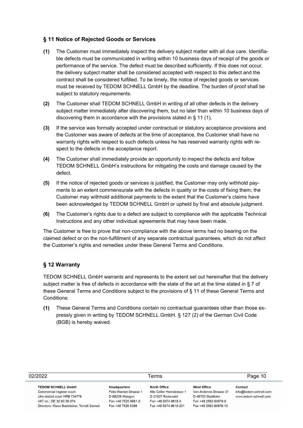## **§ 11 Notice of Rejected Goods or Services**

- **(1)** The Customer must immediately inspect the delivery subject matter with all due care. Identifiable defects must be communicated in writing within 10 business days of receipt of the goods or performance of the service. The defect must be described sufficiently. If this does not occur, the delivery subject matter shall be considered accepted with respect to this defect and the contract shall be considered fulfilled. To be timely, the notice of rejected goods or services must be received by TEDOM SCHNELL GmbH by the deadline. The burden of proof shall be subject to statutory requirements.
- **(2)** The Customer shall TEDOM SCHNELL GmbH in writing of all other defects in the delivery subject matter immediately after discovering them, but no later than within 10 business days of discovering them in accordance with the provisions stated in § 11 (1).
- **(3)** If the service was formally accepted under contractual or statutory acceptance provisions and the Customer was aware of defects at the time of acceptance, the Customer shall have no warranty rights with respect to such defects unless he has reserved warranty rights with respect to the defects in the acceptance report.
- **(4)** The Customer shall immediately provide an opportunity to inspect the defects and follow TEDOM SCHNELL GmbH's instructions for mitigating the costs and damage caused by the defect.
- **(5)** If the notice of rejected goods or services is justified, the Customer may only withhold payments to an extent commensurate with the defects in quality or the costs of fixing them; the Customer may withhold additional payments to the extent that the Customer's claims have been acknowledged by TEDOM SCHNELL GmbH or upheld by final and absolute judgment.
- **(6)** The Customer's rights due to a defect are subject to compliance with the applicable Technical Instructions and any other individual agreements that may have been made.

The Customer is free to prove that non-compliance with the above terms had no bearing on the claimed defect or on the non-fulfillment of any separate contractual guarantees, which do not affect the Customer's rights and remedies under these General Terms and Conditions.

## **§ 12 Warranty**

TEDOM SCHNELL GmbH warrants and represents to the extent set out hereinafter that the delivery subject matter is free of defects in accordance with the state of the art at the time stated in § 7 of these General Terms and Conditions subject to the provisions of § 11 of these General Terms and Conditions:

**(1)** These General Terms and Conditions contain no contractual guarantees other than those expressly given in writing by TEDOM SCHNELL GmbH. § 127 (2) of the German Civil Code (BGB) is hereby waived.

| 02/2022                                                                                                                                                          |                                                                                                             | Terms                                                                                                                |                                                                                                                    | Page 10                                                    |  |
|------------------------------------------------------------------------------------------------------------------------------------------------------------------|-------------------------------------------------------------------------------------------------------------|----------------------------------------------------------------------------------------------------------------------|--------------------------------------------------------------------------------------------------------------------|------------------------------------------------------------|--|
| <b>TEDOM SCHNELL GmbH</b><br>Commercial register court:<br>Ulm district court HRB 734778<br>VAT no.: DE 30 83 09 074<br>Directors: Klaus Badstieber, Tomáš Sameš | <b>Headquarters</b><br>Felix-Wankel-Strasse 1<br>D-88239 Wangen<br>Fon +49 7520 9661-0<br>Fax +49 7520 5388 | <b>North Office</b><br>Alte Celler Heerstrasse 1<br>D-31637 Rodewald<br>Fon +49 5074 9618-0<br>Fax +49 5074 9618-201 | <b>West Office</b><br>Von-Ardenne-Strasse 31<br>D-48703 Stadtlohn<br>Fon +49 2563 94978-0<br>Fax +49 2563 94978-10 | Contact<br>info@tedom-schnell.com<br>www.tedom-schnell.com |  |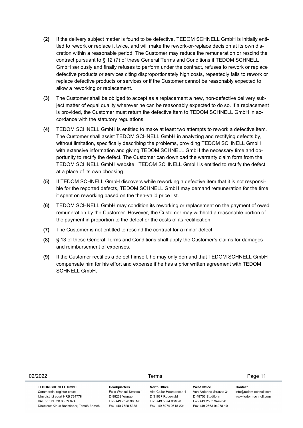- **(2)** If the delivery subject matter is found to be defective, TEDOM SCHNELL GmbH is initially entitled to rework or replace it twice, and will make the rework-or-replace decision at its own discretion within a reasonable period. The Customer may reduce the remuneration or rescind the contract pursuant to § 12 (7) of these General Terms and Conditions if TEDOM SCHNELL GmbH seriously and finally refuses to perform under the contract, refuses to rework or replace defective products or services citing disproportionately high costs, repeatedly fails to rework or replace defective products or services or if the Customer cannot be reasonably expected to allow a reworking or replacement.
- **(3)** The Customer shall be obliged to accept as a replacement a new, non-defective delivery subject matter of equal quality wherever he can be reasonably expected to do so. If a replacement is provided, the Customer must return the defective item to TEDOM SCHNELL GmbH in accordance with the statutory regulations.
- **(4)** TEDOM SCHNELL GmbH is entitled to make at least two attempts to rework a defective item. The Customer shall assist TEDOM SCHNELL GmbH in analyzing and rectifying defects by, without limitation, specifically describing the problems, providing TEDOM SCHNELL GmbH with extensive information and giving TEDOM SCHNELL GmbH the necessary time and opportunity to rectify the defect. The Customer can download the warranty claim form from the TEDOM SCHNELL GmbH website. TEDOM SCHNELL GmbH is entitled to rectify the defect at a place of its own choosing.
- **(5)** If TEDOM SCHNELL GmbH discovers while reworking a defective item that it is not responsible for the reported defects, TEDOM SCHNELL GmbH may demand remuneration for the time it spent on reworking based on the then-valid price list.
- **(6)** TEDOM SCHNELL GmbH may condition its reworking or replacement on the payment of owed remuneration by the Customer. However, the Customer may withhold a reasonable portion of the payment in proportion to the defect or the costs of its rectification.
- **(7)** The Customer is not entitled to rescind the contract for a minor defect.
- **(8)** § 13 of these General Terms and Conditions shall apply the Customer's claims for damages and reimbursement of expenses.
- **(9)** If the Customer rectifies a defect himself, he may only demand that TEDOM SCHNELL GmbH compensate him for his effort and expense if he has a prior written agreement with TEDOM SCHNELL GmbH.

| 02/2022                                                                                                                                                          |                                                                                                      | Terms                                                                                                         |                                                                                                                    | Page 11                                                    |  |
|------------------------------------------------------------------------------------------------------------------------------------------------------------------|------------------------------------------------------------------------------------------------------|---------------------------------------------------------------------------------------------------------------|--------------------------------------------------------------------------------------------------------------------|------------------------------------------------------------|--|
| <b>TEDOM SCHNELL GmbH</b><br>Commercial register court:<br>Ulm district court HRB 734778<br>VAT no.: DE 30 83 09 074<br>Directors: Klaus Badstieber, Tomáš Sameš | Headquarters<br>Felix-Wankel-Strasse 1<br>D-88239 Wangen<br>Fon +49 7520 9661-0<br>Fax +49 7520 5388 | North Office<br>Alte Celler Heerstrasse 1<br>D-31637 Rodewald<br>Fon +49 5074 9618-0<br>Fax +49 5074 9618-201 | <b>West Office</b><br>Von-Ardenne-Strasse 31<br>D-48703 Stadtlohn<br>Fon +49 2563 94978-0<br>Fax +49 2563 94978-10 | Contact<br>info@tedom-schnell.com<br>www.tedom-schnell.com |  |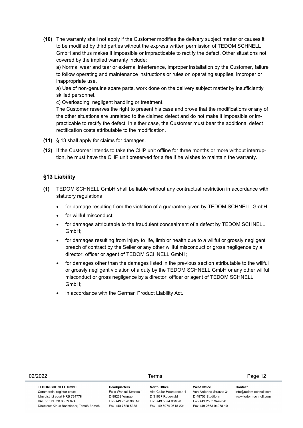**(10)** The warranty shall not apply if the Customer modifies the delivery subject matter or causes it to be modified by third parties without the express written permission of TEDOM SCHNELL GmbH and thus makes it impossible or impracticable to rectify the defect. Other situations not covered by the implied warranty include:

a) Normal wear and tear or external interference, improper installation by the Customer, failure to follow operating and maintenance instructions or rules on operating supplies, improper or inappropriate use.

a) Use of non-genuine spare parts, work done on the delivery subject matter by insufficiently skilled personnel.

c) Overloading, negligent handling or treatment.

The Customer reserves the right to present his case and prove that the modifications or any of the other situations are unrelated to the claimed defect and do not make it impossible or impracticable to rectify the defect. In either case, the Customer must bear the additional defect rectification costs attributable to the modification.

- **(11)** § 13 shall apply for claims for damages.
- **(12)** If the Customer intends to take the CHP unit offline for three months or more without interruption, he must have the CHP unit preserved for a fee if he wishes to maintain the warranty.

## **§13 Liability**

- **(1)** TEDOM SCHNELL GmbH shall be liable without any contractual restriction in accordance with statutory regulations
	- for damage resulting from the violation of a guarantee given by TEDOM SCHNELL GmbH;
	- for willful misconduct:
	- for damages attributable to the fraudulent concealment of a defect by TEDOM SCHNELL GmbH;
	- for damages resulting from injury to life, limb or health due to a willful or grossly negligent breach of contract by the Seller or any other willful misconduct or gross negligence by a director, officer or agent of TEDOM SCHNELL GmbH;
	- for damages other than the damages listed in the previous section attributable to the willful or grossly negligent violation of a duty by the TEDOM SCHNELL GmbH or any other willful misconduct or gross negligence by a director, officer or agent of TEDOM SCHNELL GmbH;
	- in accordance with the German Product Liability Act.

| 02/2022                                                                                                                                                          | Terms                                                                                                       |                                                                                                               |                                                                                                                    | Page 12                                                    |
|------------------------------------------------------------------------------------------------------------------------------------------------------------------|-------------------------------------------------------------------------------------------------------------|---------------------------------------------------------------------------------------------------------------|--------------------------------------------------------------------------------------------------------------------|------------------------------------------------------------|
| <b>TEDOM SCHNELL GmbH</b><br>Commercial register court:<br>Ulm district court HRB 734778<br>VAT no.: DE 30 83 09 074<br>Directors: Klaus Badstieber, Tomáš Sameš | <b>Headquarters</b><br>Felix-Wankel-Strasse 1<br>D-88239 Wangen<br>Fon +49 7520 9661-0<br>Fax +49 7520 5388 | North Office<br>Alte Celler Heerstrasse 1<br>D-31637 Rodewald<br>Fon +49 5074 9618-0<br>Fax +49 5074 9618-201 | <b>West Office</b><br>Von-Ardenne-Strasse 31<br>D-48703 Stadtlohn<br>Fon +49 2563 94978-0<br>Fax +49 2563 94978-10 | Contact<br>info@tedom-schnell.com<br>www.tedom-schnell.com |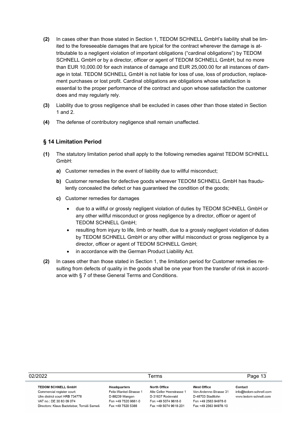- **(2)** In cases other than those stated in Section 1, TEDOM SCHNELL GmbH's liability shall be limited to the foreseeable damages that are typical for the contract wherever the damage is attributable to a negligent violation of important obligations ("cardinal obligations") by TEDOM SCHNELL GmbH or by a director, officer or agent of TEDOM SCHNELL GmbH, but no more than EUR 10,000.00 for each instance of damage and EUR 25,000.00 for all instances of damage in total. TEDOM SCHNELL GmbH is not liable for loss of use, loss of production, replacement purchases or lost profit. Cardinal obligations are obligations whose satisfaction is essential to the proper performance of the contract and upon whose satisfaction the customer does and may regularly rely.
- **(3)** Liability due to gross negligence shall be excluded in cases other than those stated in Section 1 and 2.
- **(4)** The defense of contributory negligence shall remain unaffected.

# **§ 14 Limitation Period**

- **(1)** The statutory limitation period shall apply to the following remedies against TEDOM SCHNELL GmbH:
	- **a)** Customer remedies in the event of liability due to willful misconduct;
	- **b)** Customer remedies for defective goods wherever TEDOM SCHNELL GmbH has fraudulently concealed the defect or has guaranteed the condition of the goods;
	- **c)** Customer remedies for damages
		- due to a willful or grossly negligent violation of duties by TEDOM SCHNELL GmbH or any other willful misconduct or gross negligence by a director, officer or agent of TEDOM SCHNELL GmbH;
		- resulting from injury to life, limb or health, due to a grossly negligent violation of duties by TEDOM SCHNELL GmbH or any other willful misconduct or gross negligence by a director, officer or agent of TEDOM SCHNELL GmbH;
		- in accordance with the German Product Liability Act.
- **(2)** In cases other than those stated in Section 1, the limitation period for Customer remedies resulting from defects of quality in the goods shall be one year from the transfer of risk in accordance with § 7 of these General Terms and Conditions.

| 02/2022                                                                                                                                                          | Terms                                                                                                |                                                                                                               |                                                                                                                    | Page 13                                                    |
|------------------------------------------------------------------------------------------------------------------------------------------------------------------|------------------------------------------------------------------------------------------------------|---------------------------------------------------------------------------------------------------------------|--------------------------------------------------------------------------------------------------------------------|------------------------------------------------------------|
| <b>TEDOM SCHNELL GmbH</b><br>Commercial register court:<br>Ulm district court HRB 734778<br>VAT no.: DE 30 83 09 074<br>Directors: Klaus Badstieber, Tomáš Sameš | Headquarters<br>Felix-Wankel-Strasse 1<br>D-88239 Wangen<br>Fon +49 7520 9661-0<br>Fax +49 7520 5388 | North Office<br>Alte Celler Heerstrasse 1<br>D-31637 Rodewald<br>Fon +49 5074 9618-0<br>Fax +49 5074 9618-201 | <b>West Office</b><br>Von-Ardenne-Strasse 31<br>D-48703 Stadtlohn<br>Fon +49 2563 94978-0<br>Fax +49 2563 94978-10 | Contact<br>info@tedom-schnell.com<br>www.tedom-schnell.com |